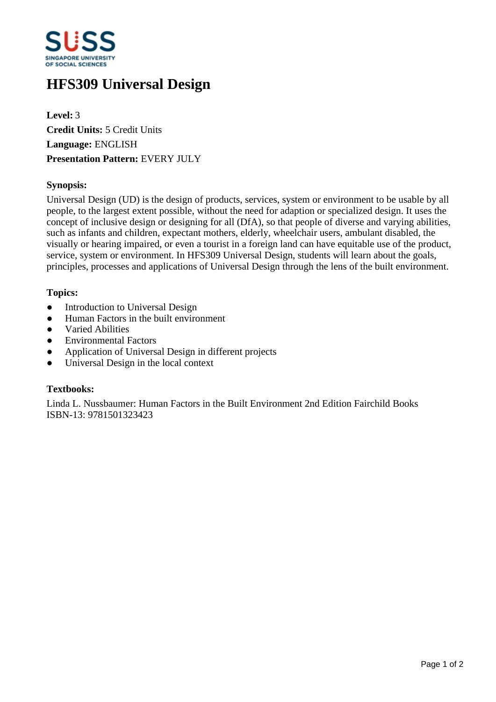

# **HFS309 Universal Design**

**Level:** 3 **Credit Units:** 5 Credit Units **Language:** ENGLISH **Presentation Pattern:** EVERY JULY

### **Synopsis:**

Universal Design (UD) is the design of products, services, system or environment to be usable by all people, to the largest extent possible, without the need for adaption or specialized design. It uses the concept of inclusive design or designing for all (DfA), so that people of diverse and varying abilities, such as infants and children, expectant mothers, elderly, wheelchair users, ambulant disabled, the visually or hearing impaired, or even a tourist in a foreign land can have equitable use of the product, service, system or environment. In HFS309 Universal Design, students will learn about the goals, principles, processes and applications of Universal Design through the lens of the built environment.

#### **Topics:**

- Introduction to Universal Design
- Human Factors in the built environment
- Varied Abilities
- ƔEnvironmental Factors
- Application of Universal Design in different projects
- Universal Design in the local context

#### **Textbooks:**

Linda L. Nussbaumer: Human Factors in the Built Environment 2nd Edition Fairchild Books ISBN-13: 9781501323423